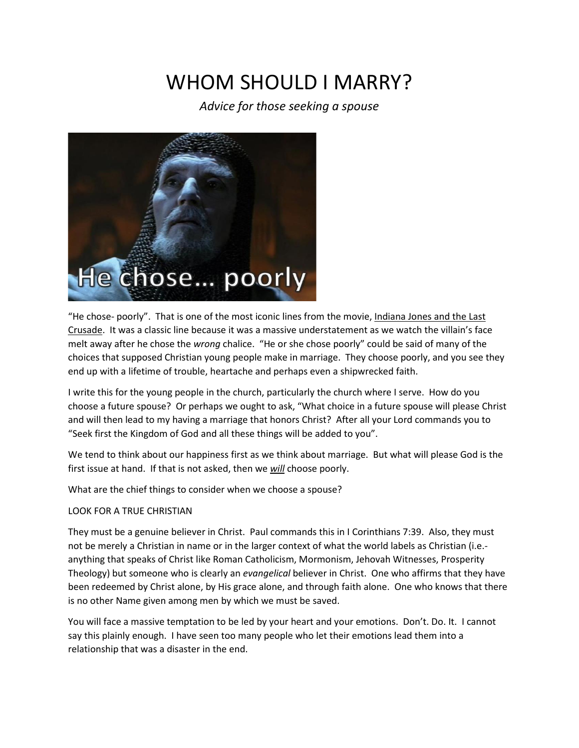# WHOM SHOULD LMARRY?

*Advice for those seeking a spouse*



"He chose- poorly". That is one of the most iconic lines from the movie, Indiana Jones and the Last Crusade. It was a classic line because it was a massive understatement as we watch the villain's face melt away after he chose the *wrong* chalice. "He or she chose poorly" could be said of many of the choices that supposed Christian young people make in marriage. They choose poorly, and you see they end up with a lifetime of trouble, heartache and perhaps even a shipwrecked faith.

I write this for the young people in the church, particularly the church where I serve. How do you choose a future spouse? Or perhaps we ought to ask, "What choice in a future spouse will please Christ and will then lead to my having a marriage that honors Christ? After all your Lord commands you to "Seek first the Kingdom of God and all these things will be added to you".

We tend to think about our happiness first as we think about marriage. But what will please God is the first issue at hand. If that is not asked, then we *will* choose poorly.

What are the chief things to consider when we choose a spouse?

## LOOK FOR A TRUE CHRISTIAN

They must be a genuine believer in Christ. Paul commands this in I Corinthians 7:39. Also, they must not be merely a Christian in name or in the larger context of what the world labels as Christian (i.e. anything that speaks of Christ like Roman Catholicism, Mormonism, Jehovah Witnesses, Prosperity Theology) but someone who is clearly an *evangelical* believer in Christ. One who affirms that they have been redeemed by Christ alone, by His grace alone, and through faith alone. One who knows that there is no other Name given among men by which we must be saved.

You will face a massive temptation to be led by your heart and your emotions. Don't. Do. It. I cannot say this plainly enough. I have seen too many people who let their emotions lead them into a relationship that was a disaster in the end.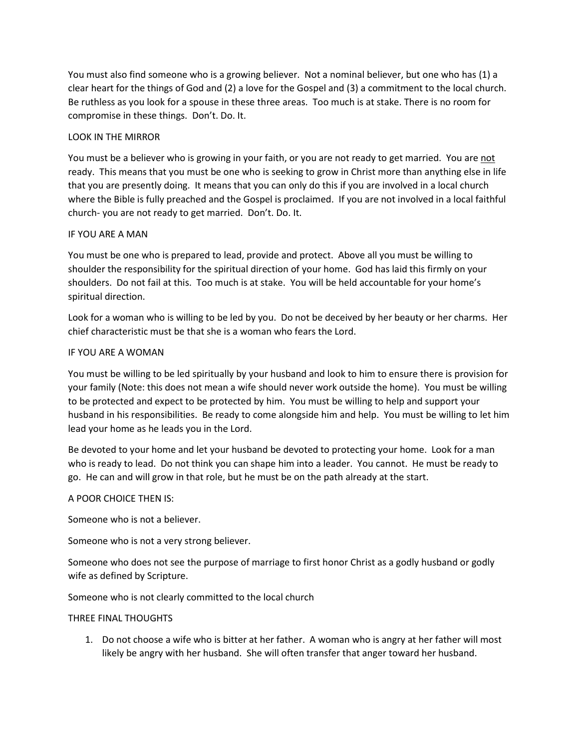You must also find someone who is a growing believer. Not a nominal believer, but one who has (1) a clear heart for the things of God and (2) a love for the Gospel and (3) a commitment to the local church. Be ruthless as you look for a spouse in these three areas. Too much is at stake. There is no room for compromise in these things. Don't. Do. It.

## LOOK IN THE MIRROR

You must be a believer who is growing in your faith, or you are not ready to get married. You are not ready. This means that you must be one who is seeking to grow in Christ more than anything else in life that you are presently doing. It means that you can only do this if you are involved in a local church where the Bible is fully preached and the Gospel is proclaimed. If you are not involved in a local faithful church- you are not ready to get married. Don't. Do. It.

### IF YOU ARE A MAN

You must be one who is prepared to lead, provide and protect. Above all you must be willing to shoulder the responsibility for the spiritual direction of your home. God has laid this firmly on your shoulders. Do not fail at this. Too much is at stake. You will be held accountable for your home's spiritual direction.

Look for a woman who is willing to be led by you. Do not be deceived by her beauty or her charms. Her chief characteristic must be that she is a woman who fears the Lord.

### IF YOU ARE A WOMAN

You must be willing to be led spiritually by your husband and look to him to ensure there is provision for your family (Note: this does not mean a wife should never work outside the home). You must be willing to be protected and expect to be protected by him. You must be willing to help and support your husband in his responsibilities. Be ready to come alongside him and help. You must be willing to let him lead your home as he leads you in the Lord.

Be devoted to your home and let your husband be devoted to protecting your home. Look for a man who is ready to lead. Do not think you can shape him into a leader. You cannot. He must be ready to go. He can and will grow in that role, but he must be on the path already at the start.

## A POOR CHOICE THEN IS:

Someone who is not a believer.

Someone who is not a very strong believer.

Someone who does not see the purpose of marriage to first honor Christ as a godly husband or godly wife as defined by Scripture.

Someone who is not clearly committed to the local church

#### THREE FINAL THOUGHTS

1. Do not choose a wife who is bitter at her father. A woman who is angry at her father will most likely be angry with her husband. She will often transfer that anger toward her husband.